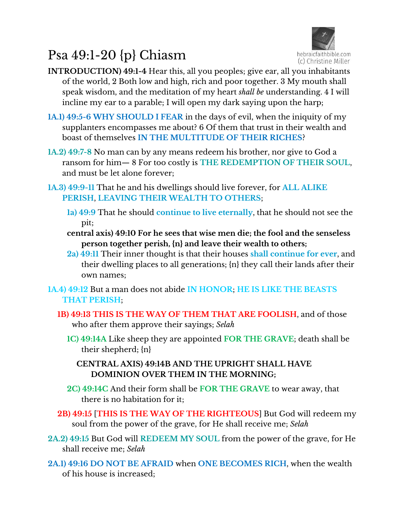## Psa 49:1-20 {p} Chiasm



- **INTRODUCTION) 49:1-4** Hear this, all you peoples; give ear, all you inhabitants of the world, 2 Both low and high, rich and poor together. 3 My mouth shall speak wisdom, and the meditation of my heart *shall be* understanding. 4 I will incline my ear to a parable; I will open my dark saying upon the harp;
- **1A.1) 49:5-6 WHY SHOULD I FEAR** in the days of evil, when the iniquity of my supplanters encompasses me about? 6 Of them that trust in their wealth and boast of themselves **IN THE MULTITUDE OF THEIR RICHES**?
- **1A.2) 49:7-8** No man can by any means redeem his brother, nor give to God a ransom for him— 8 For too costly is **THE REDEMPTION OF THEIR SOUL**, and must be let alone forever;
- **1A.3) 49:9-11** That he and his dwellings should live forever, for **ALL ALIKE PERISH**, **LEAVING THEIR WEALTH TO OTHERS**;
	- **1a) 49:9** That he should **continue to live eternally**, that he should not see the pit;
	- **central axis) 49:10 For he sees that wise men die; the fool and the senseless person together perish, {n} and leave their wealth to others;**
	- **2a) 49:11** Their inner thought is that their houses **shall continue for ever**, and their dwelling places to all generations; {n} they call their lands after their own names;
- **1A.4) 49:12** But a man does not abide **IN HONOR**; **HE IS LIKE THE BEASTS THAT PERISH**;
	- **1B) 49:13 THIS IS THE WAY OF THEM THAT ARE FOOLISH**, and of those who after them approve their sayings; *Selah*
		- **1C) 49:14A** Like sheep they are appointed **FOR THE GRAVE**; death shall be their shepherd; {n}
			- **CENTRAL AXIS) 49:14B AND THE UPRIGHT SHALL HAVE DOMINION OVER THEM IN THE MORNING;**
		- **2C) 49:14C** And their form shall be **FOR THE GRAVE** to wear away, that there is no habitation for it;
	- **2B) 49:15** [**THIS IS THE WAY OF THE RIGHTEOUS**] But God will redeem my soul from the power of the grave, for He shall receive me; *Selah*
- **2A.2) 49:15** But God will **REDEEM MY SOUL** from the power of the grave, for He shall receive me; *Selah*
- **2A.1) 49:16 DO NOT BE AFRAID** when **ONE BECOMES RICH**, when the wealth of his house is increased;